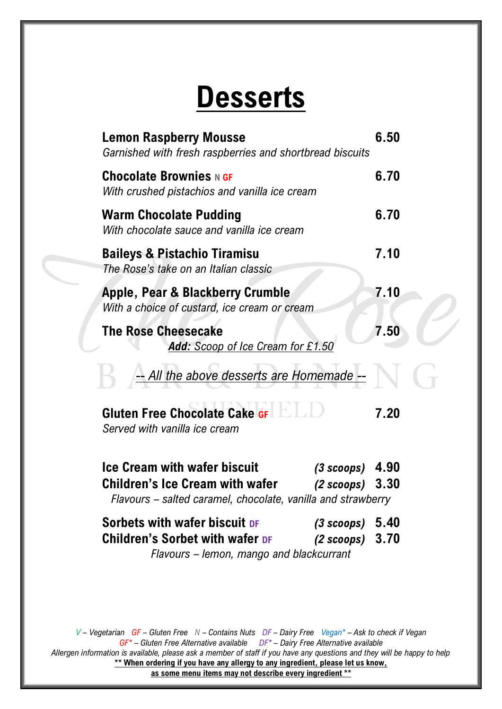## **Desserts**

| <b>Lemon Raspberry Mousse</b><br>Garnished with fresh raspberries and shortbread biscuits                                                                                               | 6.50 |
|-----------------------------------------------------------------------------------------------------------------------------------------------------------------------------------------|------|
| <b>Chocolate Brownies N GF</b><br>With crushed pistachios and vanilla ice cream                                                                                                         | 6.70 |
| <b>Warm Chocolate Pudding</b><br>With chocolate sauce and vanilla ice cream                                                                                                             | 6.70 |
| <b>Baileys &amp; Pistachio Tiramisu</b><br>The Rose's take on an Italian classic                                                                                                        | 7.10 |
| Apple, Pear & Blackberry Crumble<br>With a choice of custard, ice cream or cream                                                                                                        | 7.10 |
| <b>The Rose Cheesecake</b><br>Add: Scoop of Ice Cream for £1.50                                                                                                                         | 7.50 |
| -- All the above desserts are Homemade --                                                                                                                                               |      |
| <b>Gluten Free Chocolate Cake GFLL</b><br>Served with vanilla ice cream                                                                                                                 | 7.20 |
| <b>Ice Cream with wafer biscuit</b><br>$(3~scoops)$ 4.90<br><b>Children's Ice Cream with wafer</b><br>$(2~scoops)$ 3.30<br>Flavours - salted caramel, chocolate, vanilla and strawberry |      |
| Sorbets with wafer biscuit DF<br>$(3$ scoops) $5.40$<br>Children's Sorbet with wafer DF (2 scoops) 3.70<br>Flavours – lemon, mango and blackcurrant                                     |      |
|                                                                                                                                                                                         |      |

*V – Vegetarian GF – Gluten Free N – Contains Nuts DF – Dairy Free Vegan\* – Ask to check if Vegan GF\* – Gluten Free Alternative available DF\* – Dairy Free Alternative available Allergen information is available, please ask a member of staff if you have any questions and they will be happy to help* \*\* When ordering if you have any allergy to any ingredient, please let us know, **as some menu items may not describe every ingredient \*\***